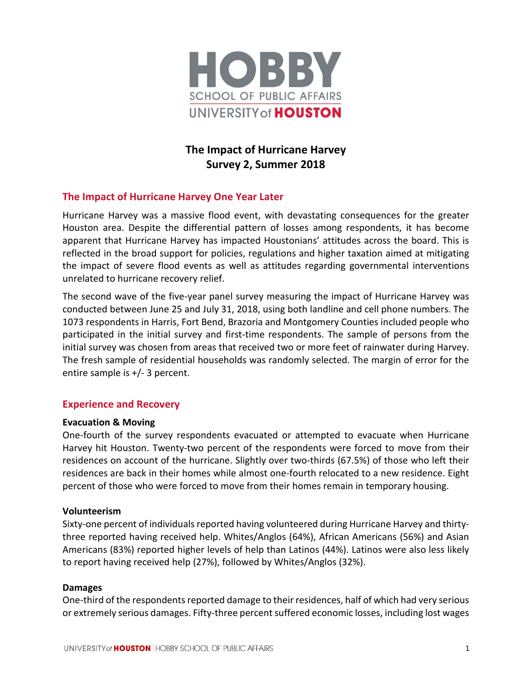

# **The Impact of Hurricane Harvey Survey 2, Summer 2018**

# **The Impact of Hurricane Harvey One Year Later**

Hurricane Harvey was a massive flood event, with devastating consequences for the greater Houston area. Despite the differential pattern of losses among respondents, it has become apparent that Hurricane Harvey has impacted Houstonians' attitudes across the board. This is reflected in the broad support for policies, regulations and higher taxation aimed at mitigating the impact of severe flood events as well as attitudes regarding governmental interventions unrelated to hurricane recovery relief.

The second wave of the five-year panel survey measuring the impact of Hurricane Harvey was conducted between June 25 and July 31, 2018, using both landline and cell phone numbers. The 1073 respondents in Harris, Fort Bend, Brazoria and Montgomery Counties included people who participated in the initial survey and first-time respondents. The sample of persons from the initial survey was chosen from areas that received two or more feet of rainwater during Harvey. The fresh sample of residential households was randomly selected. The margin of error for the entire sample is +/- 3 percent.

# **Experience and Recovery**

# **Evacuation & Moving**

One-fourth of the survey respondents evacuated or attempted to evacuate when Hurricane Harvey hit Houston. Twenty-two percent of the respondents were forced to move from their residences on account of the hurricane. Slightly over two-thirds (67.5%) of those who left their residences are back in their homes while almost one-fourth relocated to a new residence. Eight percent of those who were forced to move from their homes remain in temporary housing.

# **Volunteerism**

Sixty-one percent of individuals reported having volunteered during Hurricane Harvey and thirtythree reported having received help. Whites/Anglos (64%), African Americans (56%) and Asian Americans (83%) reported higher levels of help than Latinos (44%). Latinos were also less likely to report having received help (27%), followed by Whites/Anglos (32%).

#### **Damages**

One-third of the respondents reported damage to their residences, half of which had very serious or extremely serious damages. Fifty-three percent suffered economic losses, including lost wages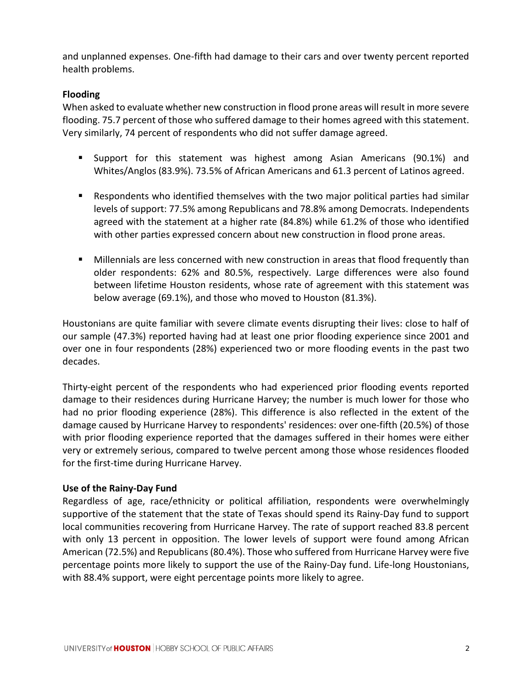and unplanned expenses. One-fifth had damage to their cars and over twenty percent reported health problems.

# **Flooding**

When asked to evaluate whether new construction in flood prone areas will result in more severe flooding. 75.7 percent of those who suffered damage to their homes agreed with this statement. Very similarly, 74 percent of respondents who did not suffer damage agreed.

- Support for this statement was highest among Asian Americans (90.1%) and Whites/Anglos (83.9%). 73.5% of African Americans and 61.3 percent of Latinos agreed.
- Respondents who identified themselves with the two major political parties had similar levels of support: 77.5% among Republicans and 78.8% among Democrats. Independents agreed with the statement at a higher rate (84.8%) while 61.2% of those who identified with other parties expressed concern about new construction in flood prone areas.
- Millennials are less concerned with new construction in areas that flood frequently than older respondents: 62% and 80.5%, respectively. Large differences were also found between lifetime Houston residents, whose rate of agreement with this statement was below average (69.1%), and those who moved to Houston (81.3%).

Houstonians are quite familiar with severe climate events disrupting their lives: close to half of our sample (47.3%) reported having had at least one prior flooding experience since 2001 and over one in four respondents (28%) experienced two or more flooding events in the past two decades.

Thirty-eight percent of the respondents who had experienced prior flooding events reported damage to their residences during Hurricane Harvey; the number is much lower for those who had no prior flooding experience (28%). This difference is also reflected in the extent of the damage caused by Hurricane Harvey to respondents' residences: over one-fifth (20.5%) of those with prior flooding experience reported that the damages suffered in their homes were either very or extremely serious, compared to twelve percent among those whose residences flooded for the first-time during Hurricane Harvey.

# **Use of the Rainy-Day Fund**

Regardless of age, race/ethnicity or political affiliation, respondents were overwhelmingly supportive of the statement that the state of Texas should spend its Rainy-Day fund to support local communities recovering from Hurricane Harvey. The rate of support reached 83.8 percent with only 13 percent in opposition. The lower levels of support were found among African American (72.5%) and Republicans (80.4%). Those who suffered from Hurricane Harvey were five percentage points more likely to support the use of the Rainy-Day fund. Life-long Houstonians, with 88.4% support, were eight percentage points more likely to agree.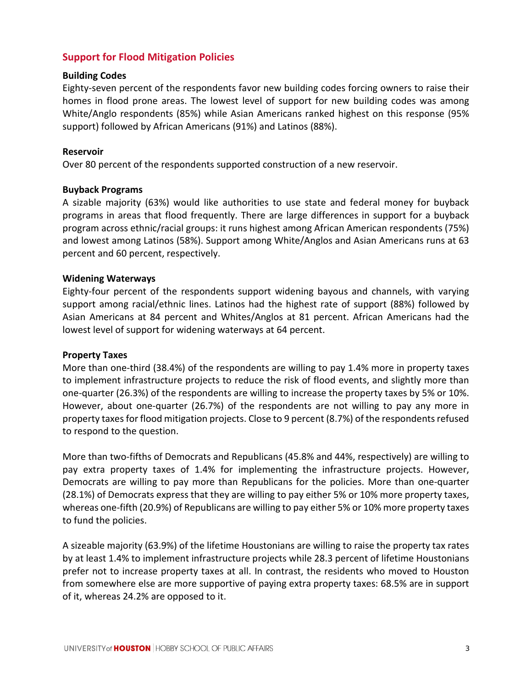# **Support for Flood Mitigation Policies**

#### **Building Codes**

Eighty-seven percent of the respondents favor new building codes forcing owners to raise their homes in flood prone areas. The lowest level of support for new building codes was among White/Anglo respondents (85%) while Asian Americans ranked highest on this response (95% support) followed by African Americans (91%) and Latinos (88%).

#### **Reservoir**

Over 80 percent of the respondents supported construction of a new reservoir.

#### **Buyback Programs**

A sizable majority (63%) would like authorities to use state and federal money for buyback programs in areas that flood frequently. There are large differences in support for a buyback program across ethnic/racial groups: it runs highest among African American respondents (75%) and lowest among Latinos (58%). Support among White/Anglos and Asian Americans runs at 63 percent and 60 percent, respectively.

#### **Widening Waterways**

Eighty-four percent of the respondents support widening bayous and channels, with varying support among racial/ethnic lines. Latinos had the highest rate of support (88%) followed by Asian Americans at 84 percent and Whites/Anglos at 81 percent. African Americans had the lowest level of support for widening waterways at 64 percent.

#### **Property Taxes**

More than one-third (38.4%) of the respondents are willing to pay 1.4% more in property taxes to implement infrastructure projects to reduce the risk of flood events, and slightly more than one-quarter (26.3%) of the respondents are willing to increase the property taxes by 5% or 10%. However, about one-quarter (26.7%) of the respondents are not willing to pay any more in property taxesfor flood mitigation projects. Close to 9 percent (8.7%) of the respondents refused to respond to the question.

More than two-fifths of Democrats and Republicans (45.8% and 44%, respectively) are willing to pay extra property taxes of 1.4% for implementing the infrastructure projects. However, Democrats are willing to pay more than Republicans for the policies. More than one-quarter (28.1%) of Democrats express that they are willing to pay either 5% or 10% more property taxes, whereas one-fifth (20.9%) of Republicans are willing to pay either 5% or 10% more property taxes to fund the policies.

A sizeable majority (63.9%) of the lifetime Houstonians are willing to raise the property tax rates by at least 1.4% to implement infrastructure projects while 28.3 percent of lifetime Houstonians prefer not to increase property taxes at all. In contrast, the residents who moved to Houston from somewhere else are more supportive of paying extra property taxes: 68.5% are in support of it, whereas 24.2% are opposed to it.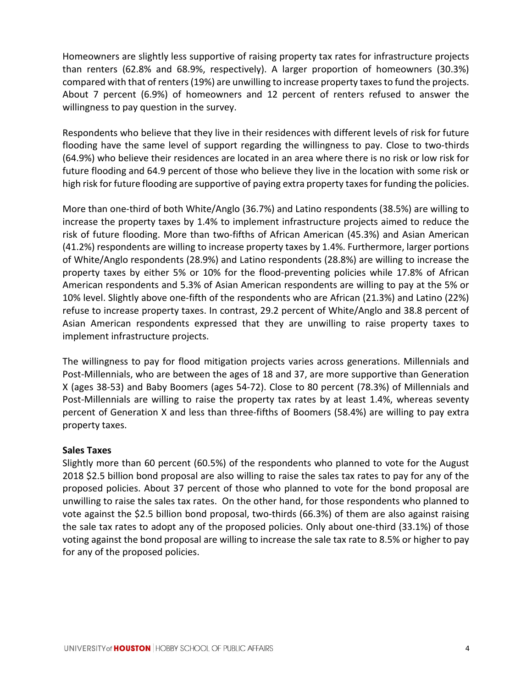Homeowners are slightly less supportive of raising property tax rates for infrastructure projects than renters (62.8% and 68.9%, respectively). A larger proportion of homeowners (30.3%) compared with that of renters (19%) are unwilling to increase property taxes to fund the projects. About 7 percent (6.9%) of homeowners and 12 percent of renters refused to answer the willingness to pay question in the survey.

Respondents who believe that they live in their residences with different levels of risk for future flooding have the same level of support regarding the willingness to pay. Close to two-thirds (64.9%) who believe their residences are located in an area where there is no risk or low risk for future flooding and 64.9 percent of those who believe they live in the location with some risk or high risk for future flooding are supportive of paying extra property taxes for funding the policies.

More than one-third of both White/Anglo (36.7%) and Latino respondents (38.5%) are willing to increase the property taxes by 1.4% to implement infrastructure projects aimed to reduce the risk of future flooding. More than two-fifths of African American (45.3%) and Asian American (41.2%) respondents are willing to increase property taxes by 1.4%. Furthermore, larger portions of White/Anglo respondents (28.9%) and Latino respondents (28.8%) are willing to increase the property taxes by either 5% or 10% for the flood-preventing policies while 17.8% of African American respondents and 5.3% of Asian American respondents are willing to pay at the 5% or 10% level. Slightly above one-fifth of the respondents who are African (21.3%) and Latino (22%) refuse to increase property taxes. In contrast, 29.2 percent of White/Anglo and 38.8 percent of Asian American respondents expressed that they are unwilling to raise property taxes to implement infrastructure projects.

The willingness to pay for flood mitigation projects varies across generations. Millennials and Post-Millennials, who are between the ages of 18 and 37, are more supportive than Generation X (ages 38-53) and Baby Boomers (ages 54-72). Close to 80 percent (78.3%) of Millennials and Post-Millennials are willing to raise the property tax rates by at least 1.4%, whereas seventy percent of Generation X and less than three-fifths of Boomers (58.4%) are willing to pay extra property taxes.

# **Sales Taxes**

Slightly more than 60 percent (60.5%) of the respondents who planned to vote for the August 2018 \$2.5 billion bond proposal are also willing to raise the sales tax rates to pay for any of the proposed policies. About 37 percent of those who planned to vote for the bond proposal are unwilling to raise the sales tax rates. On the other hand, for those respondents who planned to vote against the \$2.5 billion bond proposal, two-thirds (66.3%) of them are also against raising the sale tax rates to adopt any of the proposed policies. Only about one-third (33.1%) of those voting against the bond proposal are willing to increase the sale tax rate to 8.5% or higher to pay for any of the proposed policies.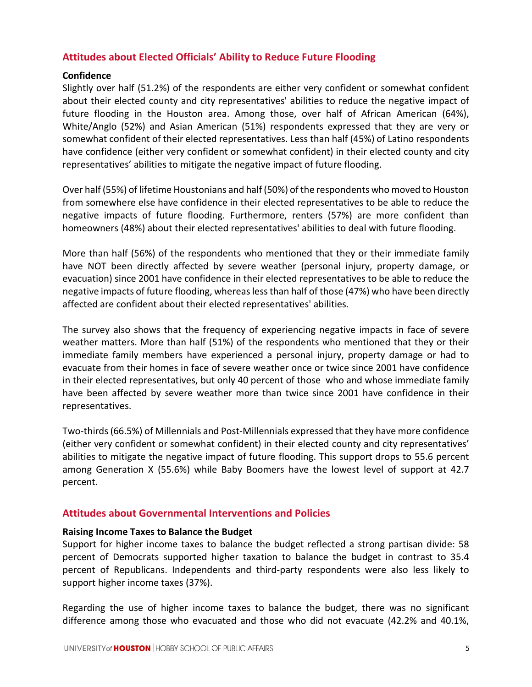# **Attitudes about Elected Officials' Ability to Reduce Future Flooding**

#### **Confidence**

Slightly over half (51.2%) of the respondents are either very confident or somewhat confident about their elected county and city representatives' abilities to reduce the negative impact of future flooding in the Houston area. Among those, over half of African American (64%), White/Anglo (52%) and Asian American (51%) respondents expressed that they are very or somewhat confident of their elected representatives. Less than half (45%) of Latino respondents have confidence (either very confident or somewhat confident) in their elected county and city representatives' abilities to mitigate the negative impact of future flooding.

Over half (55%) of lifetime Houstonians and half (50%) of the respondents who moved to Houston from somewhere else have confidence in their elected representatives to be able to reduce the negative impacts of future flooding. Furthermore, renters (57%) are more confident than homeowners (48%) about their elected representatives' abilities to deal with future flooding.

More than half (56%) of the respondents who mentioned that they or their immediate family have NOT been directly affected by severe weather (personal injury, property damage, or evacuation) since 2001 have confidence in their elected representatives to be able to reduce the negative impacts of future flooding, whereaslessthan half of those (47%) who have been directly affected are confident about their elected representatives' abilities.

The survey also shows that the frequency of experiencing negative impacts in face of severe weather matters. More than half (51%) of the respondents who mentioned that they or their immediate family members have experienced a personal injury, property damage or had to evacuate from their homes in face of severe weather once or twice since 2001 have confidence in their elected representatives, but only 40 percent of those who and whose immediate family have been affected by severe weather more than twice since 2001 have confidence in their representatives.

Two-thirds(66.5%) of Millennials and Post-Millennials expressed that they have more confidence (either very confident or somewhat confident) in their elected county and city representatives' abilities to mitigate the negative impact of future flooding. This support drops to 55.6 percent among Generation X (55.6%) while Baby Boomers have the lowest level of support at 42.7 percent.

#### **Attitudes about Governmental Interventions and Policies**

#### **Raising Income Taxes to Balance the Budget**

Support for higher income taxes to balance the budget reflected a strong partisan divide: 58 percent of Democrats supported higher taxation to balance the budget in contrast to 35.4 percent of Republicans. Independents and third-party respondents were also less likely to support higher income taxes (37%).

Regarding the use of higher income taxes to balance the budget, there was no significant difference among those who evacuated and those who did not evacuate (42.2% and 40.1%,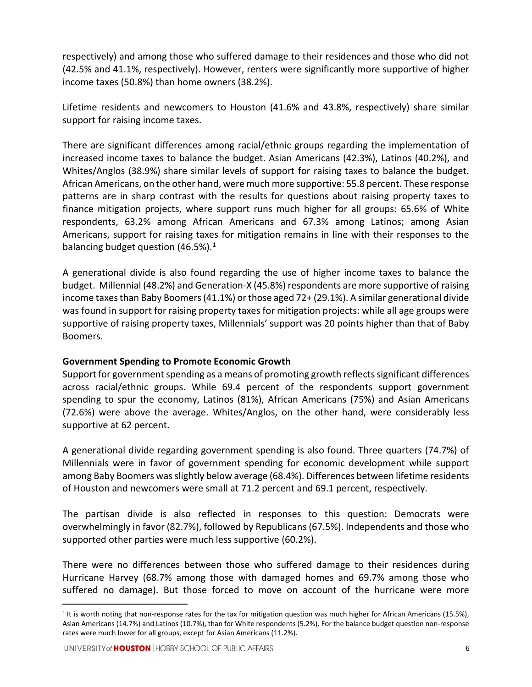respectively) and among those who suffered damage to their residences and those who did not (42.5% and 41.1%, respectively). However, renters were significantly more supportive of higher income taxes (50.8%) than home owners (38.2%).

Lifetime residents and newcomers to Houston (41.6% and 43.8%, respectively) share similar support for raising income taxes.

There are significant differences among racial/ethnic groups regarding the implementation of increased income taxes to balance the budget. Asian Americans (42.3%), Latinos (40.2%), and Whites/Anglos (38.9%) share similar levels of support for raising taxes to balance the budget. African Americans, on the other hand, were much more supportive: 55.8 percent. These response patterns are in sharp contrast with the results for questions about raising property taxes to finance mitigation projects, where support runs much higher for all groups: 65.6% of White respondents, 63.2% among African Americans and 67.3% among Latinos; among Asian Americans, support for raising taxes for mitigation remains in line with their responses to the balancing budget question (46.5%). $1$ 

A generational divide is also found regarding the use of higher income taxes to balance the budget. Millennial (48.2%) and Generation-X (45.8%) respondents are more supportive of raising income taxes than Baby Boomers (41.1%) or those aged 72+ (29.1%). A similar generational divide was found in support for raising property taxes for mitigation projects: while all age groups were supportive of raising property taxes, Millennials' support was 20 points higher than that of Baby Boomers.

# **Government Spending to Promote Economic Growth**

Support for government spending as a means of promoting growth reflects significant differences across racial/ethnic groups. While 69.4 percent of the respondents support government spending to spur the economy, Latinos (81%), African Americans (75%) and Asian Americans (72.6%) were above the average. Whites/Anglos, on the other hand, were considerably less supportive at 62 percent.

A generational divide regarding government spending is also found. Three quarters (74.7%) of Millennials were in favor of government spending for economic development while support among Baby Boomers was slightly below average (68.4%). Differences between lifetime residents of Houston and newcomers were small at 71.2 percent and 69.1 percent, respectively.

The partisan divide is also reflected in responses to this question: Democrats were overwhelmingly in favor (82.7%), followed by Republicans (67.5%). Independents and those who supported other parties were much less supportive (60.2%).

There were no differences between those who suffered damage to their residences during Hurricane Harvey (68.7% among those with damaged homes and 69.7% among those who suffered no damage). But those forced to move on account of the hurricane were more

<span id="page-5-0"></span> $1$  It is worth noting that non-response rates for the tax for mitigation question was much higher for African Americans (15.5%), Asian Americans (14.7%) and Latinos (10.7%), than for White respondents (5.2%). For the balance budget question non-response rates were much lower for all groups, except for Asian Americans (11.2%).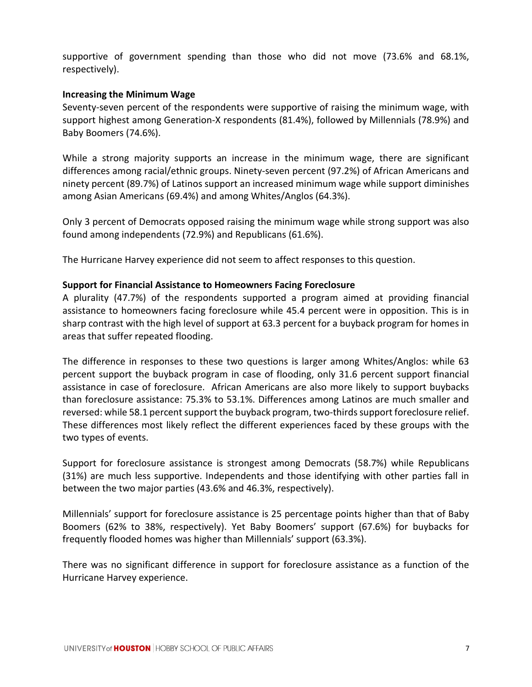supportive of government spending than those who did not move (73.6% and 68.1%, respectively).

# **Increasing the Minimum Wage**

Seventy-seven percent of the respondents were supportive of raising the minimum wage, with support highest among Generation-X respondents (81.4%), followed by Millennials (78.9%) and Baby Boomers (74.6%).

While a strong majority supports an increase in the minimum wage, there are significant differences among racial/ethnic groups. Ninety-seven percent (97.2%) of African Americans and ninety percent (89.7%) of Latinos support an increased minimum wage while support diminishes among Asian Americans (69.4%) and among Whites/Anglos (64.3%).

Only 3 percent of Democrats opposed raising the minimum wage while strong support was also found among independents (72.9%) and Republicans (61.6%).

The Hurricane Harvey experience did not seem to affect responses to this question.

# **Support for Financial Assistance to Homeowners Facing Foreclosure**

A plurality (47.7%) of the respondents supported a program aimed at providing financial assistance to homeowners facing foreclosure while 45.4 percent were in opposition. This is in sharp contrast with the high level of support at 63.3 percent for a buyback program for homes in areas that suffer repeated flooding.

The difference in responses to these two questions is larger among Whites/Anglos: while 63 percent support the buyback program in case of flooding, only 31.6 percent support financial assistance in case of foreclosure. African Americans are also more likely to support buybacks than foreclosure assistance: 75.3% to 53.1%. Differences among Latinos are much smaller and reversed: while 58.1 percent support the buyback program, two-thirds support foreclosure relief. These differences most likely reflect the different experiences faced by these groups with the two types of events.

Support for foreclosure assistance is strongest among Democrats (58.7%) while Republicans (31%) are much less supportive. Independents and those identifying with other parties fall in between the two major parties (43.6% and 46.3%, respectively).

Millennials' support for foreclosure assistance is 25 percentage points higher than that of Baby Boomers (62% to 38%, respectively). Yet Baby Boomers' support (67.6%) for buybacks for frequently flooded homes was higher than Millennials' support (63.3%).

There was no significant difference in support for foreclosure assistance as a function of the Hurricane Harvey experience.